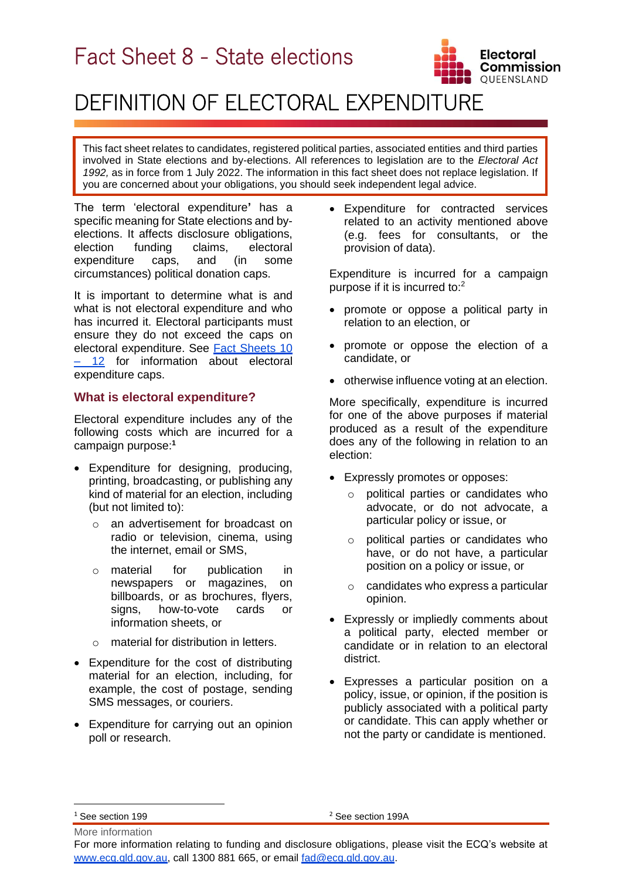# Fact Sheet 8 - State elections



# DEFINITION OF ELECTORAL EXPENDITURE

This fact sheet relates to candidates, registered political parties, associated entities and third parties involved in State elections and by-elections. All references to legislation are to the *Electoral Act 1992,* as in force from 1 July 2022. The information in this fact sheet does not replace legislation. If you are concerned about your obligations, you should seek independent legal advice.

The term 'electoral expenditure**'** has a specific meaning for State elections and byelections. It affects disclosure obligations, election funding claims, electoral expenditure caps, and (in some circumstances) political donation caps.

It is important to determine what is and what is not electoral expenditure and who has incurred it. Electoral participants must ensure they do not exceed the caps on electoral expenditure. See [Fact Sheets 10](https://www.ecq.qld.gov.au/election-participants/handbooks,-fact-sheets-and-forms) – [12](https://www.ecq.qld.gov.au/election-participants/handbooks,-fact-sheets-and-forms) for information about electoral expenditure caps.

## **What is electoral expenditure?**

Electoral expenditure includes any of the following costs which are incurred for a campaign purpose: **1**

- Expenditure for designing, producing, printing, broadcasting, or publishing any kind of material for an election, including (but not limited to):
	- o an advertisement for broadcast on radio or television, cinema, using the internet, email or SMS,
	- o material for publication in newspapers or magazines, on billboards, or as brochures, flyers, signs, how-to-vote cards or information sheets, or
	- o material for distribution in letters.
- Expenditure for the cost of distributing material for an election, including, for example, the cost of postage, sending SMS messages, or couriers.
- Expenditure for carrying out an opinion poll or research.

• Expenditure for contracted services related to an activity mentioned above (e.g. fees for consultants, or the provision of data).

Expenditure is incurred for a campaign purpose if it is incurred to:<sup>2</sup>

- promote or oppose a political party in relation to an election, or
- promote or oppose the election of a candidate, or
- otherwise influence voting at an election.

More specifically, expenditure is incurred for one of the above purposes if material produced as a result of the expenditure does any of the following in relation to an election:

- Expressly promotes or opposes:
	- o political parties or candidates who advocate, or do not advocate, a particular policy or issue, or
	- o political parties or candidates who have, or do not have, a particular position on a policy or issue, or
	- o candidates who express a particular opinion.
- Expressly or impliedly comments about a political party, elected member or candidate or in relation to an electoral district.
- Expresses a particular position on a policy, issue, or opinion, if the position is publicly associated with a political party or candidate. This can apply whether or not the party or candidate is mentioned.

<sup>2</sup> See section 199A

More information <sup>1</sup> See section 199

For more information relating to funding and disclosure obligations, please visit the ECQ's website at [www.ecq.qld.gov.au,](http://www.ecq.qld.gov.au/) call 1300 881 665, or email [fad@ecq.qld.gov.au.](mailto:fad@ecq.qld.gov.au)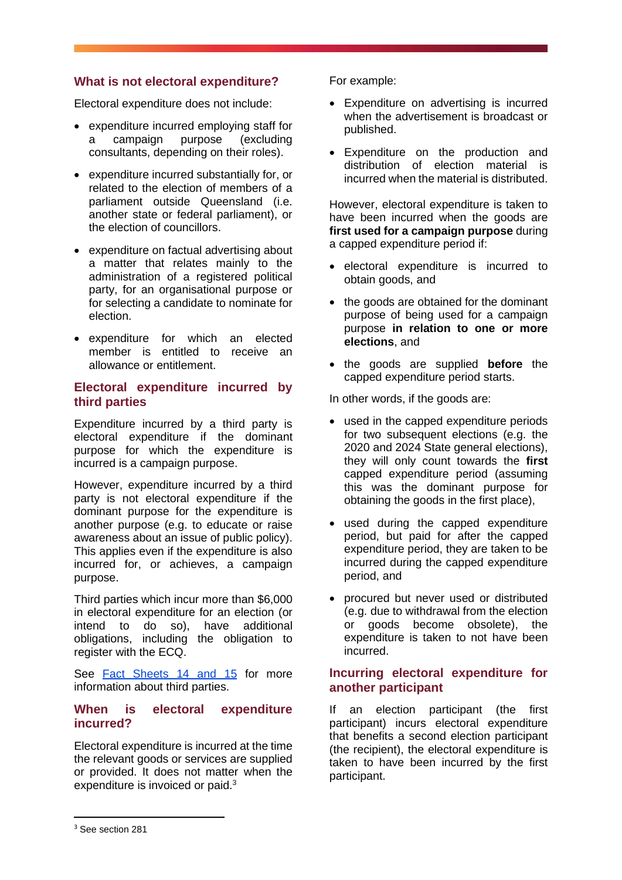## **What is not electoral expenditure?**

Electoral expenditure does not include:

- expenditure incurred employing staff for a campaign purpose (excluding consultants, depending on their roles).
- expenditure incurred substantially for, or related to the election of members of a parliament outside Queensland (i.e. another state or federal parliament), or the election of councillors.
- expenditure on factual advertising about a matter that relates mainly to the administration of a registered political party, for an organisational purpose or for selecting a candidate to nominate for election.
- expenditure for which an elected member is entitled to receive an allowance or entitlement.

### **Electoral expenditure incurred by third parties**

Expenditure incurred by a third party is electoral expenditure if the dominant purpose for which the expenditure is incurred is a campaign purpose.

However, expenditure incurred by a third party is not electoral expenditure if the dominant purpose for the expenditure is another purpose (e.g. to educate or raise awareness about an issue of public policy). This applies even if the expenditure is also incurred for, or achieves, a campaign purpose.

Third parties which incur more than \$6,000 in electoral expenditure for an election (or intend to do so), have additional obligations, including the obligation to register with the ECQ.

See [Fact Sheets](https://www.ecq.qld.gov.au/election-participants/handbooks,-fact-sheets-and-forms) 14 and 15 for more information about third parties.

### **When is electoral expenditure incurred?**

Electoral expenditure is incurred at the time the relevant goods or services are supplied or provided. It does not matter when the expenditure is invoiced or paid.<sup>3</sup>

For example:

- Expenditure on advertising is incurred when the advertisement is broadcast or published.
- Expenditure on the production and distribution of election material is incurred when the material is distributed.

However, electoral expenditure is taken to have been incurred when the goods are **first used for a campaign purpose** during a capped expenditure period if:

- electoral expenditure is incurred to obtain goods, and
- the goods are obtained for the dominant purpose of being used for a campaign purpose **in relation to one or more elections**, and
- the goods are supplied **before** the capped expenditure period starts.

In other words, if the goods are:

- used in the capped expenditure periods for two subsequent elections (e.g. the 2020 and 2024 State general elections), they will only count towards the **first**  capped expenditure period (assuming this was the dominant purpose for obtaining the goods in the first place),
- used during the capped expenditure period, but paid for after the capped expenditure period, they are taken to be incurred during the capped expenditure period, and
- procured but never used or distributed (e.g. due to withdrawal from the election or goods become obsolete), the expenditure is taken to not have been incurred.

## **Incurring electoral expenditure for another participant**

If an election participant (the first participant) incurs electoral expenditure that benefits a second election participant (the recipient), the electoral expenditure is taken to have been incurred by the first participant.

<sup>&</sup>lt;sup>3</sup> See section 281